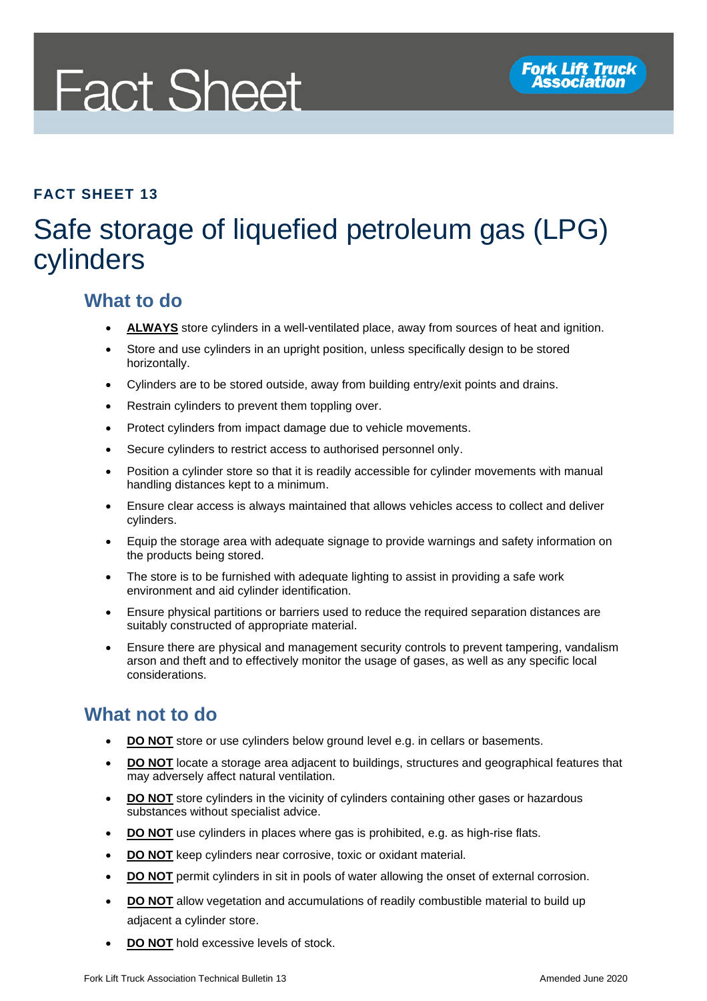# **Fact Sheet**

#### **FACT SHEET 13**

# Safe storage of liquefied petroleum gas (LPG) cylinders

## **What to do**

- ALWAYS store cylinders in a well-ventilated place, away from sources of heat and ignition.
- Store and use cylinders in an upright position, unless specifically design to be stored horizontally.
- Cylinders are to be stored outside, away from building entry/exit points and drains.
- Restrain cylinders to prevent them toppling over.
- Protect cylinders from impact damage due to vehicle movements.
- Secure cylinders to restrict access to authorised personnel only.
- Position a cylinder store so that it is readily accessible for cylinder movements with manual handling distances kept to a minimum.
- Ensure clear access is always maintained that allows vehicles access to collect and deliver cylinders.
- Equip the storage area with adequate signage to provide warnings and safety information on the products being stored.
- The store is to be furnished with adequate lighting to assist in providing a safe work environment and aid cylinder identification.
- Ensure physical partitions or barriers used to reduce the required separation distances are suitably constructed of appropriate material.
- Ensure there are physical and management security controls to prevent tampering, vandalism arson and theft and to effectively monitor the usage of gases, as well as any specific local considerations.

## **What not to do**

- **DO NOT** store or use cylinders below ground level e.g. in cellars or basements.
- **DO NOT** locate a storage area adjacent to buildings, structures and geographical features that may adversely affect natural ventilation.
- **DO NOT** store cylinders in the vicinity of cylinders containing other gases or hazardous substances without specialist advice.
- **DO NOT** use cylinders in places where gas is prohibited, e.g. as high-rise flats.
- **DO NOT** keep cylinders near corrosive, toxic or oxidant material.
- **DO NOT** permit cylinders in sit in pools of water allowing the onset of external corrosion.
- **DO NOT** allow vegetation and accumulations of readily combustible material to build up adjacent a cylinder store.
- **DO NOT** hold excessive levels of stock.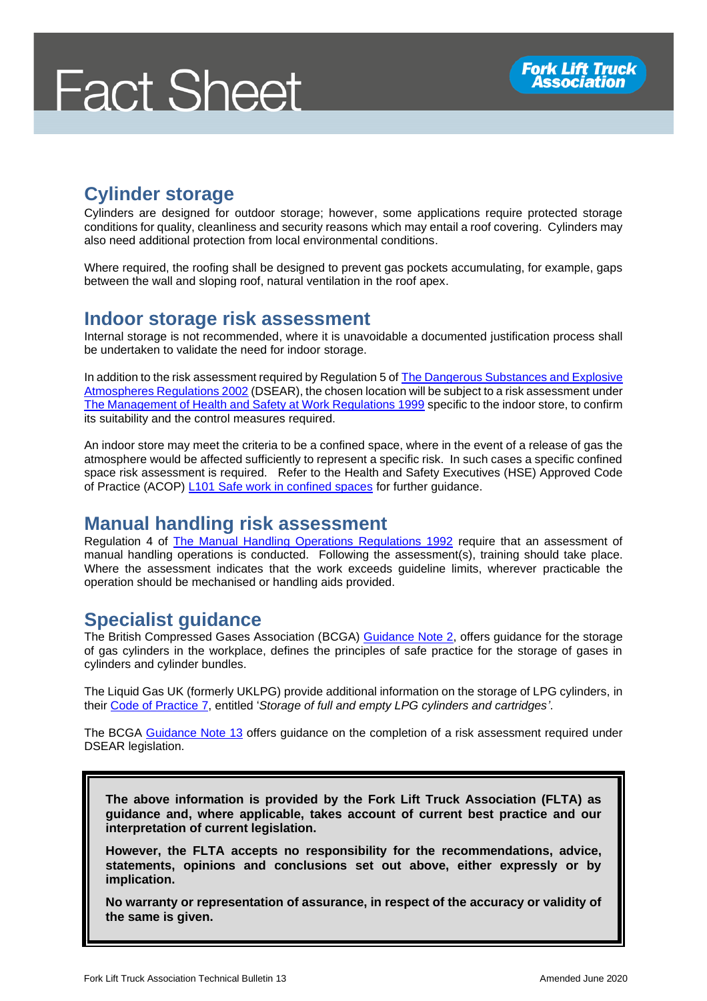

# **Cylinder storage**

Cylinders are designed for outdoor storage; however, some applications require protected storage conditions for quality, cleanliness and security reasons which may entail a roof covering. Cylinders may also need additional protection from local environmental conditions.

Where required, the roofing shall be designed to prevent gas pockets accumulating, for example, gaps between the wall and sloping roof, natural ventilation in the roof apex.

#### **Indoor storage risk assessment**

Internal storage is not recommended, where it is unavoidable a documented justification process shall be undertaken to validate the need for indoor storage.

In addition to the risk assessment required by Regulation 5 o[f The Dangerous Substances and Explosive](http://www.legislation.gov.uk/uksi/2002/2776/regulation/5/made)  [Atmospheres Regulations 2002](http://www.legislation.gov.uk/uksi/2002/2776/regulation/5/made) (DSEAR), the chosen location will be subject to a risk assessment under [The Management of Health and Safety at Work Regulations 1999](http://www.legislation.gov.uk/uksi/1999/3242/contents/made) specific to the indoor store, to confirm its suitability and the control measures required.

An indoor store may meet the criteria to be a confined space, where in the event of a release of gas the atmosphere would be affected sufficiently to represent a specific risk. In such cases a specific confined space risk assessment is required. Refer to the Health and Safety Executives (HSE) Approved Code of Practice (ACOP) [L101 Safe work in confined spaces](https://www.hse.gov.uk/pubns/priced/l101.pdf) for further guidance.

#### **Manual handling risk assessment**

Regulation 4 of [The Manual Handling Operations Regulations 1992](http://www.legislation.gov.uk/uksi/1992/2793/regulation/4/made) require that an assessment of manual handling operations is conducted. Following the assessment(s), training should take place. Where the assessment indicates that the work exceeds guideline limits, wherever practicable the operation should be mechanised or handling aids provided.

## **Specialist guidance**

The British Compressed Gases Association (BCGA) [Guidance Note 2,](http://www.bcga.co.uk/pages/index.cfm?page_id=112&title=guidance_notes_) offers guidance for the storage of gas cylinders in the workplace, defines the principles of safe practice for the storage of gases in cylinders and cylinder bundles.

The Liquid Gas UK (formerly UKLPG) provide additional information on the storage of LPG cylinders, in their [Code of Practice 7,](https://www.liquidgasuk.org/shop/codes-of-practice/code-of-practice-7) entitled '*Storage of full and empty LPG cylinders and cartridges'*.

The BCGA [Guidance Note 13](http://www.bcga.co.uk/assets/publications/GN13.pdf) offers guidance on the completion of a risk assessment required under DSEAR legislation.

**The above information is provided by the Fork Lift Truck Association (FLTA) as guidance and, where applicable, takes account of current best practice and our interpretation of current legislation.** 

**However, the FLTA accepts no responsibility for the recommendations, advice, statements, opinions and conclusions set out above, either expressly or by implication.**

**No warranty or representation of assurance, in respect of the accuracy or validity of the same is given.**